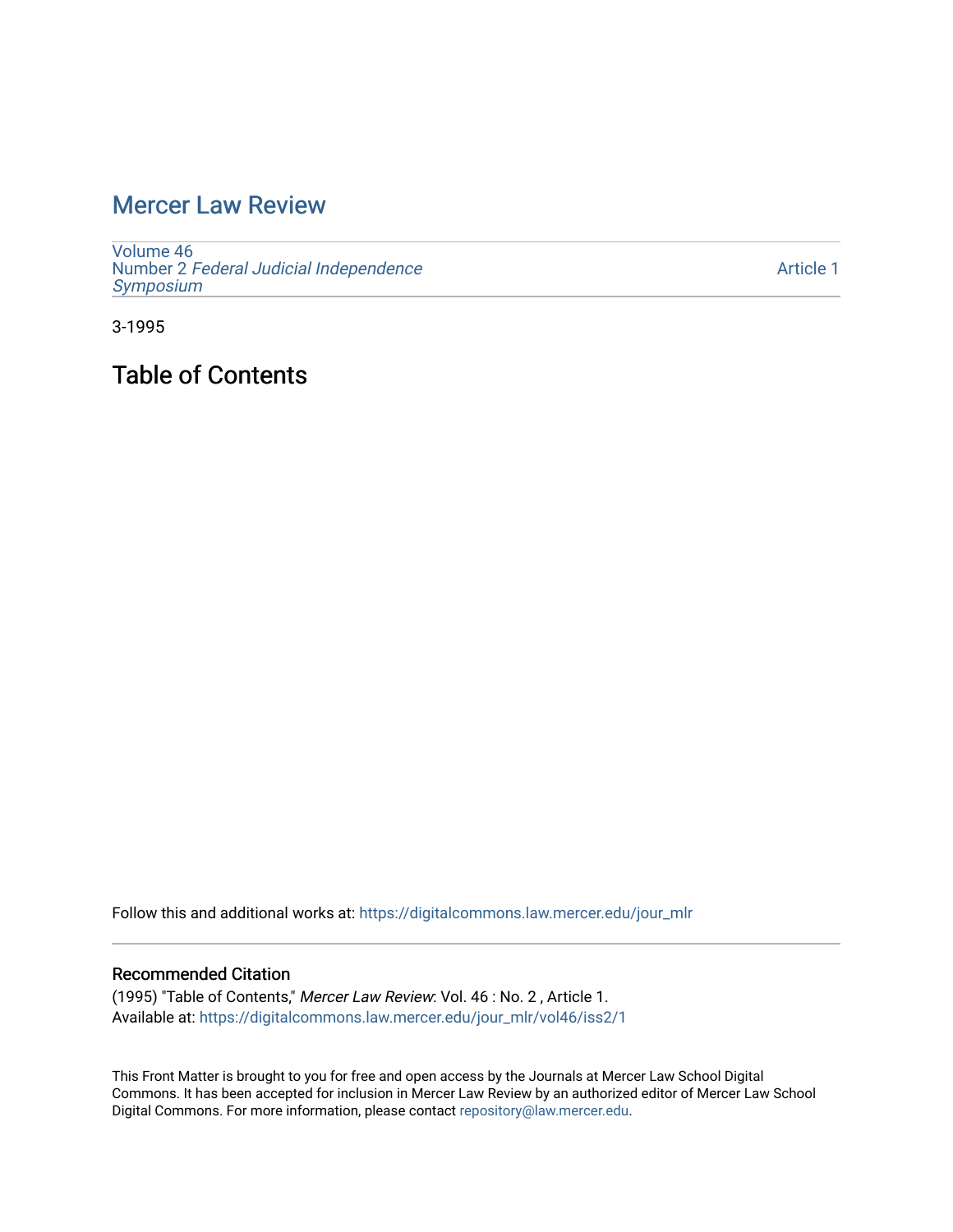# [Mercer Law Review](https://digitalcommons.law.mercer.edu/jour_mlr)

[Volume 46](https://digitalcommons.law.mercer.edu/jour_mlr/vol46) Number 2 [Federal Judicial Independence](https://digitalcommons.law.mercer.edu/jour_mlr/vol46/iss2) [Symposium](https://digitalcommons.law.mercer.edu/jour_mlr/vol46/iss2) 

[Article 1](https://digitalcommons.law.mercer.edu/jour_mlr/vol46/iss2/1) 

3-1995

Table of Contents

Follow this and additional works at: [https://digitalcommons.law.mercer.edu/jour\\_mlr](https://digitalcommons.law.mercer.edu/jour_mlr?utm_source=digitalcommons.law.mercer.edu%2Fjour_mlr%2Fvol46%2Fiss2%2F1&utm_medium=PDF&utm_campaign=PDFCoverPages)

#### Recommended Citation

(1995) "Table of Contents," Mercer Law Review: Vol. 46 : No. 2 , Article 1. Available at: [https://digitalcommons.law.mercer.edu/jour\\_mlr/vol46/iss2/1](https://digitalcommons.law.mercer.edu/jour_mlr/vol46/iss2/1?utm_source=digitalcommons.law.mercer.edu%2Fjour_mlr%2Fvol46%2Fiss2%2F1&utm_medium=PDF&utm_campaign=PDFCoverPages)

This Front Matter is brought to you for free and open access by the Journals at Mercer Law School Digital Commons. It has been accepted for inclusion in Mercer Law Review by an authorized editor of Mercer Law School Digital Commons. For more information, please contact [repository@law.mercer.edu](mailto:repository@law.mercer.edu).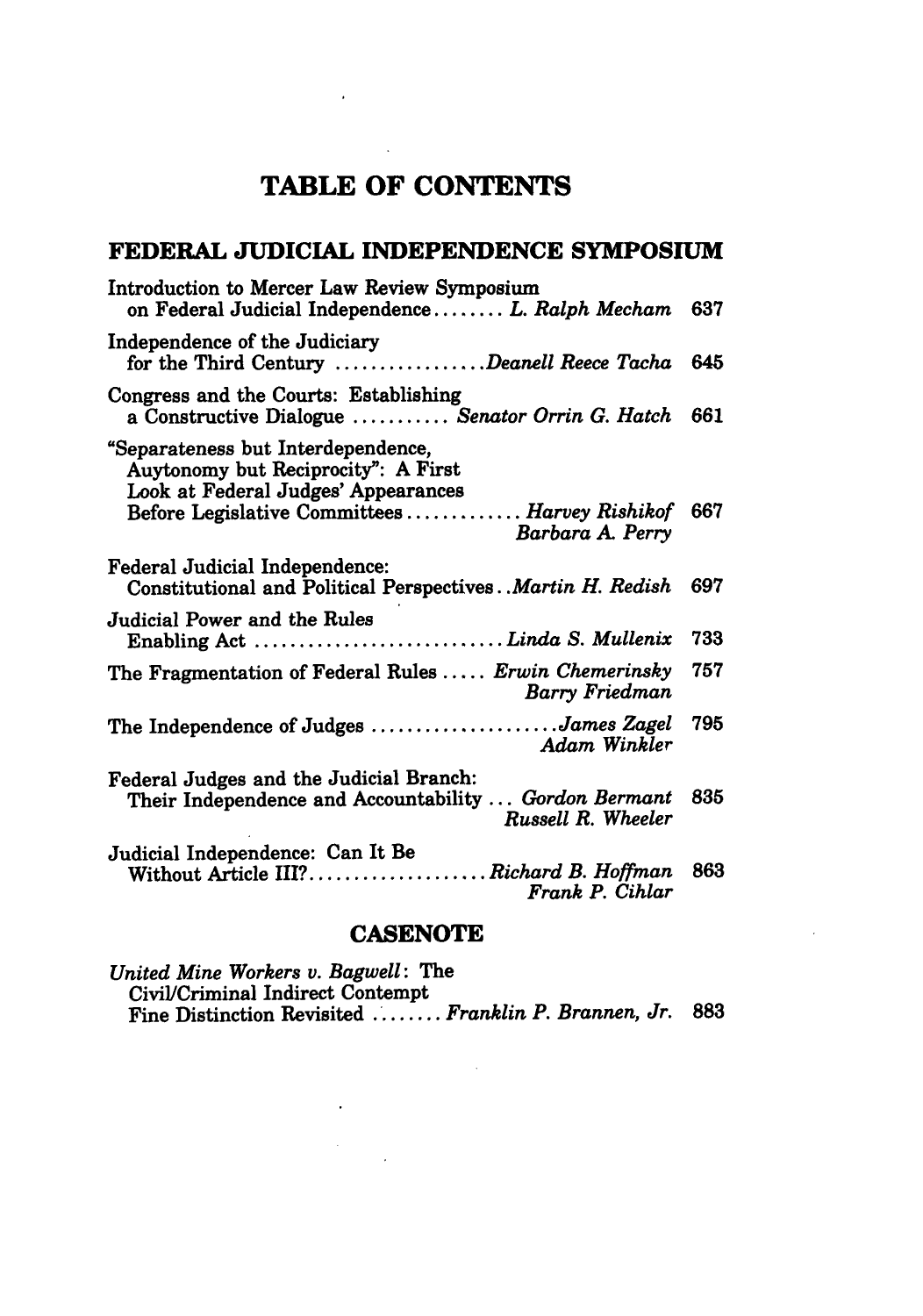## **TABLE OF CONTENTS**

**Contract** 

and the contract of the

### **FEDERAL JUDICIAL INDEPENDENCE SYMPOSIUM**

| Introduction to Mercer Law Review Symposium<br>on Federal Judicial Independence L. Ralph Mecham                        | 637 |
|------------------------------------------------------------------------------------------------------------------------|-----|
| Independence of the Judiciary<br>for the Third Century Deanell Reece Tacha                                             | 645 |
| Congress and the Courts: Establishing<br>a Constructive Dialogue  Senator Orrin G. Hatch                               | 661 |
| "Separateness but Interdependence,<br>Auytonomy but Reciprocity": A First<br>Look at Federal Judges' Appearances       |     |
| Before Legislative Committees  Harvey Rishikof<br>Barbara A. Perry                                                     | 667 |
| <b>Federal Judicial Independence:</b><br>Constitutional and Political Perspectives. Martin H. Redish                   | 697 |
| Judicial Power and the Rules<br>Enabling Act  Linda S. Mullenix                                                        | 733 |
| The Fragmentation of Federal Rules  Erwin Chemerinsky<br>Barry Friedman                                                | 757 |
| The Independence of Judges James Zagel<br>Adam Winkler                                                                 | 795 |
| Federal Judges and the Judicial Branch:<br>Their Independence and Accountability  Gordon Bermant<br>Russell R. Wheeler | 835 |
| Judicial Independence: Can It Be<br>Without Article III?Richard B. Hoffman<br>Frank P. Cihlar                          | 863 |
|                                                                                                                        |     |

#### **CASENOTE**

*United Mine Workers v. Bagwell:* The Civil/Criminal Indirect Contempt Fine Distinction Revisited **......** *Franklin P. Brannen, Jr.* **883**

 $\sim 10^{11}$  km  $^{-1}$ 

 $\sim$